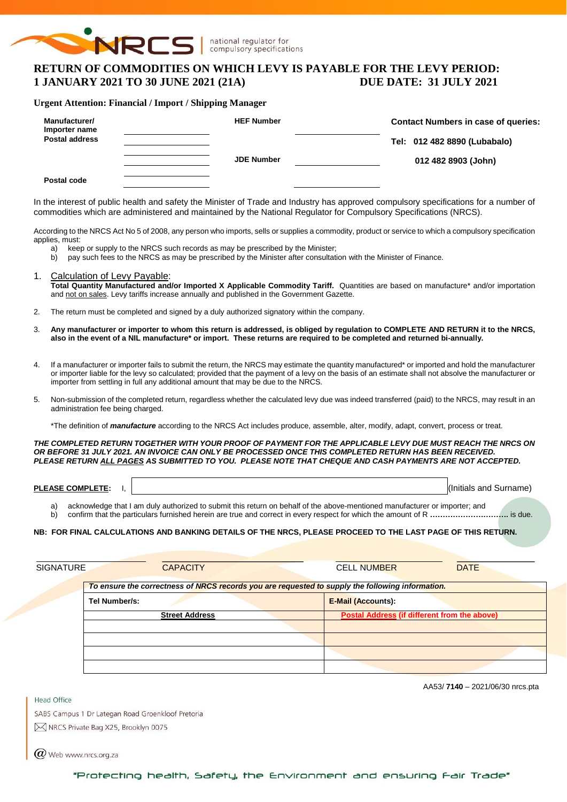

national regulator for compulsory specifications

# **RETURN OF COMMODITIES ON WHICH LEVY IS PAYABLE FOR THE LEVY PERIOD: 1 JANUARY 2021 TO 30 JUNE 2021 (21A) DUE DATE: 31 JULY 2021**

#### **Urgent Attention: Financial / Import / Shipping Manager**

| Manufacturer/<br>Importer name | <b>HEF Number</b> | <b>Contact Numbers in case of queries:</b> |  |  |  |
|--------------------------------|-------------------|--------------------------------------------|--|--|--|
| <b>Postal address</b>          |                   | Tel: 012 482 8890 (Lubabalo)               |  |  |  |
|                                | <b>JDE Number</b> | 012 482 8903 (John)                        |  |  |  |
| Postal code                    |                   |                                            |  |  |  |

In the interest of public health and safety the Minister of Trade and Industry has approved compulsory specifications for a number of commodities which are administered and maintained by the National Regulator for Compulsory Specifications (NRCS).

According to the NRCS Act No 5 of 2008, any person who imports, sells or supplies a commodity, product or service to which a compulsory specification applies, must:<br>a) kee

- keep or supply to the NRCS such records as may be prescribed by the Minister;
- b) pay such fees to the NRCS as may be prescribed by the Minister after consultation with the Minister of Finance.
- 1. Calculation of Levy Payable: **Total Quantity Manufactured and/or Imported X Applicable Commodity Tariff.** Quantities are based on manufacture\* and/or importation and not on sales. Levy tariffs increase annually and published in the Government Gazette.
- 2. The return must be completed and signed by a duly authorized signatory within the company.
- 3. **Any manufacturer or importer to whom this return is addressed, is obliged by regulation to COMPLETE AND RETURN it to the NRCS, also in the event of a NIL manufacture\* or import. These returns are required to be completed and returned bi-annually.**
- 4. If a manufacturer or importer fails to submit the return, the NRCS may estimate the quantity manufactured\* or imported and hold the manufacturer or importer liable for the levy so calculated; provided that the payment of a levy on the basis of an estimate shall not absolve the manufacturer or importer from settling in full any additional amount that may be due to the NRCS.
- 5. Non-submission of the completed return, regardless whether the calculated levy due was indeed transferred (paid) to the NRCS, may result in an administration fee being charged.

\*The definition of *manufacture* according to the NRCS Act includes produce, assemble, alter, modify, adapt, convert, process or treat.

*THE COMPLETED RETURN TOGETHER WITH YOUR PROOF OF PAYMENT FOR THE APPLICABLE LEVY DUE MUST REACH THE NRCS ON OR BEFORE 31 JULY 2021. AN INVOICE CAN ONLY BE PROCESSED ONCE THIS COMPLETED RETURN HAS BEEN RECEIVED. PLEASE RETURN ALL PAGES AS SUBMITTED TO YOU. PLEASE NOTE THAT CHEQUE AND CASH PAYMENTS ARE NOT ACCEPTED.*

**PLEASE COMPLETE:** I,  $\vert$ 

a) acknowledge that I am duly authorized to submit this return on behalf of the above-mentioned manufacturer or importer; and

b) confirm that the particulars furnished herein are true and correct in every respect for which the amount of R **………………………….** is due.

#### **NB: FOR FINAL CALCULATIONS AND BANKING DETAILS OF THE NRCS, PLEASE PROCEED TO THE LAST PAGE OF THIS RETURN.**

| SIGNATURE | <b>CAPACITY</b>                                                                                  | <b>CELL NUMBER</b>                           | <b>DATE</b> |  |  |  |  |  |
|-----------|--------------------------------------------------------------------------------------------------|----------------------------------------------|-------------|--|--|--|--|--|
|           | To ensure the correctness of NRCS records you are requested to supply the following information. |                                              |             |  |  |  |  |  |
|           | Tel Number/s:                                                                                    | <b>E-Mail (Accounts):</b>                    |             |  |  |  |  |  |
|           | <b>Street Address</b>                                                                            | Postal Address (if different from the above) |             |  |  |  |  |  |
|           |                                                                                                  |                                              |             |  |  |  |  |  |
|           |                                                                                                  |                                              |             |  |  |  |  |  |
|           |                                                                                                  |                                              |             |  |  |  |  |  |
|           |                                                                                                  |                                              |             |  |  |  |  |  |

AA53/ **7140** – 2021/06/30 nrcs.pta

SABS Campus 1 Dr Lategan Road Groenkloof Pretoria M NRCS Private Bag X25, Brooklyn 0075

 $(\alpha)$  Web www.nrcs.org.za

Head Office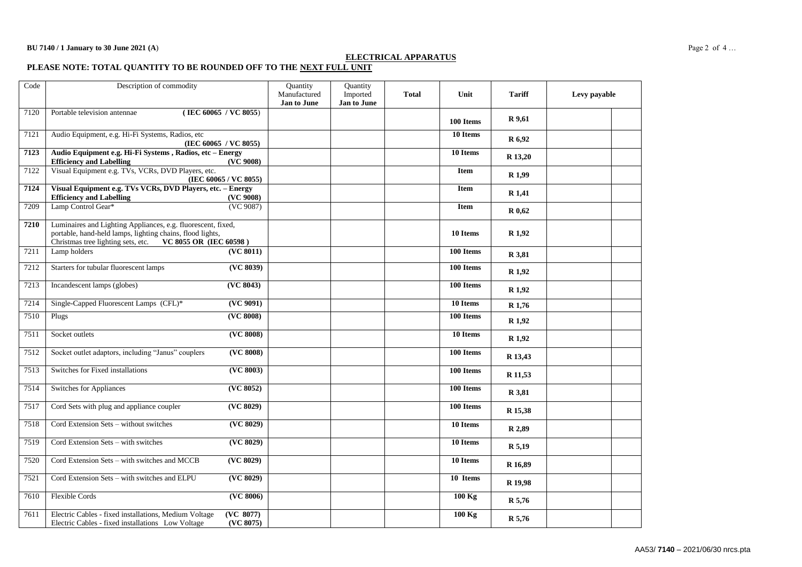#### **ELECTRICAL APPARATUS**

**PLEASE NOTE: TOTAL QUANTITY TO BE ROUNDED OFF TO THE NEXT FULL UNIT**

| Code | Description of commodity                                                                                                                                                                  | Quantity<br>Manufactured<br>Jan to June | Quantity<br>Imported<br>Jan to June | <b>Total</b> | Unit        | <b>Tariff</b>     | Levy payable |
|------|-------------------------------------------------------------------------------------------------------------------------------------------------------------------------------------------|-----------------------------------------|-------------------------------------|--------------|-------------|-------------------|--------------|
| 7120 | (IEC 60065 / VC 8055)<br>Portable television antennae                                                                                                                                     |                                         |                                     |              | 100 Items   | R 9,61            |              |
| 7121 | Audio Equipment, e.g. Hi-Fi Systems, Radios, etc<br>(IEC 60065 / VC 8055)                                                                                                                 |                                         |                                     |              | 10 Items    | R 6,92            |              |
| 7123 | Audio Equipment e.g. Hi-Fi Systems, Radios, etc - Energy<br><b>Efficiency and Labelling</b><br>(VC 9008)                                                                                  |                                         |                                     |              | 10 Items    | R 13,20           |              |
| 7122 | Visual Equipment e.g. TVs, VCRs, DVD Players, etc.<br>(IEC 60065 / VC 8055)                                                                                                               |                                         |                                     |              | <b>Item</b> | R <sub>1,99</sub> |              |
| 7124 | Visual Equipment e.g. TVs VCRs, DVD Players, etc. - Energy<br><b>Efficiency and Labelling</b><br>(VC 9008)                                                                                |                                         |                                     |              | <b>Item</b> | R 1,41            |              |
| 7209 | (VC 9087)<br>Lamp Control Gear*                                                                                                                                                           |                                         |                                     |              | <b>Item</b> | R 0,62            |              |
| 7210 | Luminaires and Lighting Appliances, e.g. fluorescent, fixed,<br>portable, hand-held lamps, lighting chains, flood lights,<br>VC 8055 OR (IEC 60598)<br>Christmas tree lighting sets, etc. |                                         |                                     |              | 10 Items    | R <sub>1,92</sub> |              |
| 7211 | Lamp holders<br>(VC 8011)                                                                                                                                                                 |                                         |                                     |              | 100 Items   | R 3,81            |              |
| 7212 | Starters for tubular fluorescent lamps<br>(VC 8039)                                                                                                                                       |                                         |                                     |              | 100 Items   | R 1,92            |              |
| 7213 | Incandescent lamps (globes)<br>(VC 8043)                                                                                                                                                  |                                         |                                     |              | 100 Items   | R 1,92            |              |
| 7214 | Single-Capped Fluorescent Lamps (CFL)*<br>(VC 9091)                                                                                                                                       |                                         |                                     |              | 10 Items    | R 1,76            |              |
| 7510 | (VC 8008)<br>Plugs                                                                                                                                                                        |                                         |                                     |              | 100 Items   | R 1,92            |              |
| 7511 | ( <b>VC</b> 8008)<br>Socket outlets                                                                                                                                                       |                                         |                                     |              | 10 Items    | R 1,92            |              |
| 7512 | Socket outlet adaptors, including "Janus" couplers<br>(VC 8008)                                                                                                                           |                                         |                                     |              | 100 Items   | R 13,43           |              |
| 7513 | ( <b>VC</b> 8003)<br>Switches for Fixed installations                                                                                                                                     |                                         |                                     |              | 100 Items   | R 11,53           |              |
| 7514 | (VC 8052)<br>Switches for Appliances                                                                                                                                                      |                                         |                                     |              | 100 Items   | R 3,81            |              |
| 7517 | Cord Sets with plug and appliance coupler<br>(VC 8029)                                                                                                                                    |                                         |                                     |              | 100 Items   | R 15,38           |              |
| 7518 | ( <b>VC</b> 8029)<br>Cord Extension Sets - without switches                                                                                                                               |                                         |                                     |              | 10 Items    | R 2,89            |              |
| 7519 | Cord Extension Sets - with switches<br>(VC 8029)                                                                                                                                          |                                         |                                     |              | 10 Items    | R 5,19            |              |
| 7520 | Cord Extension Sets - with switches and MCCB<br>(VC 8029)                                                                                                                                 |                                         |                                     |              | 10 Items    | R 16,89           |              |
| 7521 | (VC 8029)<br>Cord Extension Sets - with switches and ELPU                                                                                                                                 |                                         |                                     |              | 10 Items    | R 19,98           |              |
| 7610 | Flexible Cords<br>(VC 8006)                                                                                                                                                               |                                         |                                     |              | 100 Kg      | R 5,76            |              |
| 7611 | Electric Cables - fixed installations, Medium Voltage<br>(VC 8077)<br>Electric Cables - fixed installations Low Voltage<br>(VC 8075)                                                      |                                         |                                     |              | 100 Kg      | R 5,76            |              |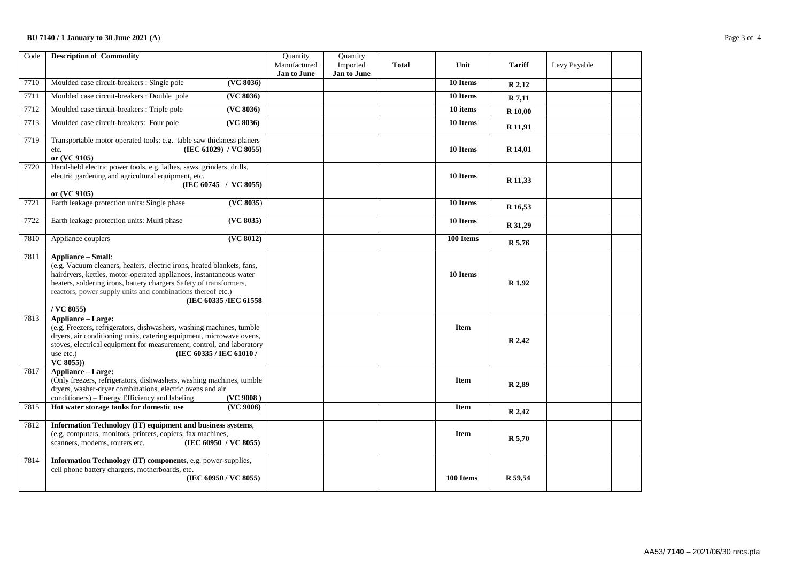### **BU 7140 / 1 January to 30 June 2021 (A**) Page 3 of 4

| Code | <b>Description of Commodity</b>                                                                                                                                                                                                                                                                                                                           | Quantity<br>Manufactured<br>Jan to June | Quantity<br>Imported<br>Jan to June | <b>Total</b> | Unit        | <b>Tariff</b>     | Levy Payable |  |
|------|-----------------------------------------------------------------------------------------------------------------------------------------------------------------------------------------------------------------------------------------------------------------------------------------------------------------------------------------------------------|-----------------------------------------|-------------------------------------|--------------|-------------|-------------------|--------------|--|
| 7710 | ( <b>VC</b> 8036)<br>Moulded case circuit-breakers : Single pole                                                                                                                                                                                                                                                                                          |                                         |                                     |              | 10 Items    | R 2,12            |              |  |
| 7711 | Moulded case circuit-breakers : Double pole<br>(VC 8036)                                                                                                                                                                                                                                                                                                  |                                         |                                     |              | 10 Items    | R 7,11            |              |  |
| 7712 | Moulded case circuit-breakers: Triple pole<br>(VC 8036)                                                                                                                                                                                                                                                                                                   |                                         |                                     |              | 10 items    | R 10,00           |              |  |
| 7713 | (VC 8036)<br>Moulded case circuit-breakers: Four pole                                                                                                                                                                                                                                                                                                     |                                         |                                     |              | 10 Items    | R 11,91           |              |  |
| 7719 | Transportable motor operated tools: e.g. table saw thickness planers<br>(IEC 61029) / VC 8055)<br>etc.<br>or (VC 9105)                                                                                                                                                                                                                                    |                                         |                                     |              | 10 Items    | R 14,01           |              |  |
| 7720 | Hand-held electric power tools, e.g. lathes, saws, grinders, drills,<br>electric gardening and agricultural equipment, etc.<br>(IEC 60745 / VC 8055)<br>or (VC 9105)                                                                                                                                                                                      |                                         |                                     |              | 10 Items    | R 11,33           |              |  |
| 7721 | Earth leakage protection units: Single phase<br>(VC 8035)                                                                                                                                                                                                                                                                                                 |                                         |                                     |              | 10 Items    | R 16,53           |              |  |
| 7722 | Earth leakage protection units: Multi phase<br>(VC 8035)                                                                                                                                                                                                                                                                                                  |                                         |                                     |              | 10 Items    | R 31,29           |              |  |
| 7810 | (VC 8012)<br>Appliance couplers                                                                                                                                                                                                                                                                                                                           |                                         |                                     |              | 100 Items   | R 5,76            |              |  |
| 7811 | <b>Appliance - Small:</b><br>(e.g. Vacuum cleaners, heaters, electric irons, heated blankets, fans,<br>hairdryers, kettles, motor-operated appliances, instantaneous water<br>heaters, soldering irons, battery chargers Safety of transformers,<br>reactors, power supply units and combinations thereof etc.)<br>(IEC 60335 /IEC 61558)<br>$/$ VC 8055) |                                         |                                     |              | 10 Items    | R <sub>1,92</sub> |              |  |
| 7813 | <b>Appliance - Large:</b><br>(e.g. Freezers, refrigerators, dishwashers, washing machines, tumble<br>dryers, air conditioning units, catering equipment, microwave ovens,<br>stoves, electrical equipment for measurement, control, and laboratory<br>(IEC 60335 / IEC 61010 /<br>use etc.)<br>VC 8055))                                                  |                                         |                                     |              | <b>Item</b> | R 2,42            |              |  |
| 7817 | <b>Appliance - Large:</b><br>(Only freezers, refrigerators, dishwashers, washing machines, tumble<br>dryers, washer-dryer combinations, electric ovens and air<br>conditioners) – Energy Efficiency and labeling<br>(VC 9008)                                                                                                                             |                                         |                                     |              | Item        | R 2,89            |              |  |
| 7815 | (VC 9006)<br>Hot water storage tanks for domestic use                                                                                                                                                                                                                                                                                                     |                                         |                                     |              | <b>Item</b> | R 2,42            |              |  |
| 7812 | Information Technology (IT) equipment and business systems,<br>(e.g. computers, monitors, printers, copiers, fax machines,<br>scanners, modems, routers etc.<br>(IEC 60950 / VC 8055)                                                                                                                                                                     |                                         |                                     |              | <b>Item</b> | R 5,70            |              |  |
| 7814 | Information Technology (IT) components, e.g. power-supplies,<br>cell phone battery chargers, motherboards, etc.<br>(IEC 60950 / VC 8055)                                                                                                                                                                                                                  |                                         |                                     |              | 100 Items   | R 59,54           |              |  |